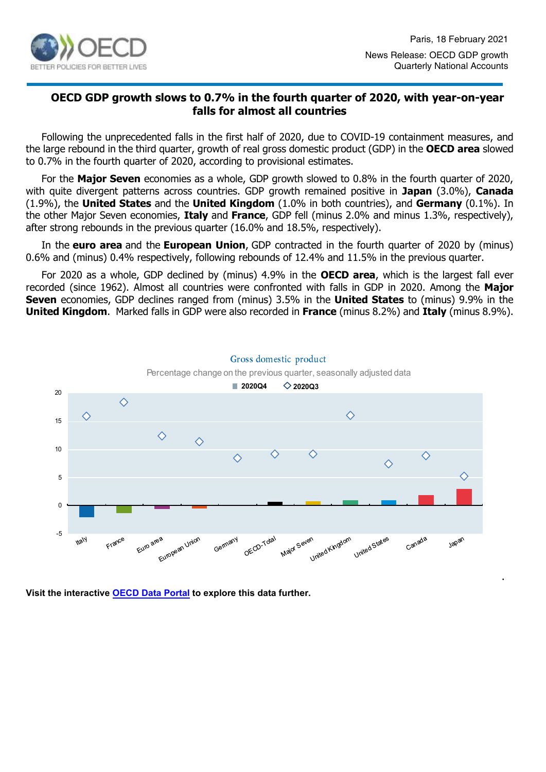

# **OECD GDP growth slows to 0.7% in the fourth quarter of 2020, with year-on-year falls for almost all countries**

Following the unprecedented falls in the first half of 2020, due to COVID-19 containment measures, and the large rebound in the third quarter, growth of real gross domestic product (GDP) in the **OECD area** slowed to 0.7% in the fourth quarter of 2020, according to provisional estimates.

For the **Major Seven** economies as a whole, GDP growth slowed to 0.8% in the fourth quarter of 2020, with quite divergent patterns across countries. GDP growth remained positive in **Japan** (3.0%), **Canada** (1.9%), the **United States** and the **United Kingdom** (1.0% in both countries), and **Germany** (0.1%). In the other Major Seven economies, **Italy** and **France**, GDP fell (minus 2.0% and minus 1.3%, respectively), after strong rebounds in the previous quarter (16.0% and 18.5%, respectively).

In the **euro area** and the **European Union**, GDP contracted in the fourth quarter of 2020 by (minus) 0.6% and (minus) 0.4% respectively, following rebounds of 12.4% and 11.5% in the previous quarter.

For 2020 as a whole, GDP declined by (minus) 4.9% in the **OECD area**, which is the largest fall ever recorded (since 1962). Almost all countries were confronted with falls in GDP in 2020. Among the **Major Seven** economies, GDP declines ranged from (minus) 3.5% in the **United States** to (minus) 9.9% in the **United Kingdom**. Marked falls in GDP were also recorded in **France** (minus 8.2%) and **Italy** (minus 8.9%).



**Visit the interactive [OECD Data Portal](https://data.oecd.org/chart/6h7r) to explore this data further.**